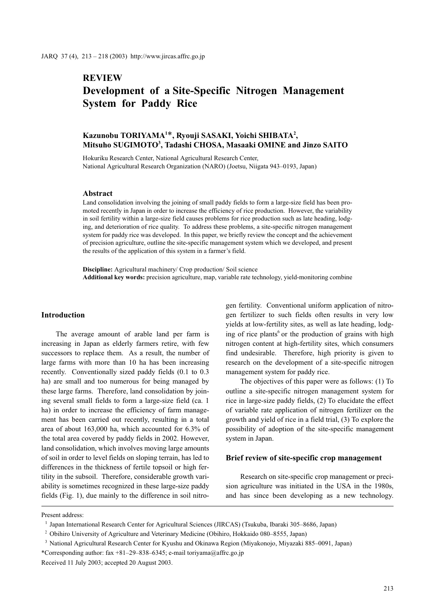## **REVIEW**

# Development of a Site-Specific Nitrogen Management System for Paddy Rice

## Kazunobu TORIYAMA<sup>1\*</sup>, Ryouji SASAKI, Yoichi SHIBATA<sup>2</sup>, Mitsuho SUGIMOTO<sup>3</sup> , Tadashi CHOSA, Masaaki OMINE and Jinzo SAITO

Hokuriku Research Center, National Agricultural Research Center, National Agricultural Research Organization (NARO) (Joetsu, Niigata 943–0193, Japan)

### Abstract

Land consolidation involving the joining of small paddy fields to form a large-size field has been promoted recently in Japan in order to increase the efficiency of rice production. However, the variability in soil fertility within a large-size field causes problems for rice production such as late heading, lodging, and deterioration of rice quality. To address these problems, a site-specific nitrogen management system for paddy rice was developed. In this paper, we briefly review the concept and the achievement of precision agriculture, outline the site-specific management system which we developed, and present the results of the application of this system in a farmer's field.

Discipline: Agricultural machinery/ Crop production/ Soil science Additional key words: precision agriculture, map, variable rate technology, yield-monitoring combine

## Introduction

The average amount of arable land per farm is increasing in Japan as elderly farmers retire, with few successors to replace them. As a result, the number of large farms with more than 10 ha has been increasing recently. Conventionally sized paddy fields (0.1 to 0.3 ha) are small and too numerous for being managed by these large farms. Therefore, land consolidation by joining several small fields to form a large-size field (ca. 1 ha) in order to increase the efficiency of farm management has been carried out recently, resulting in a total area of about 163,000 ha, which accounted for 6.3% of the total area covered by paddy fields in 2002. However, land consolidation, which involves moving large amounts of soil in order to level fields on sloping terrain, has led to differences in the thickness of fertile topsoil or high fertility in the subsoil. Therefore, considerable growth variability is sometimes recognized in these large-size paddy fields (Fig. 1), due mainly to the difference in soil nitrogen fertility. Conventional uniform application of nitrogen fertilizer to such fields often results in very low yields at low-fertility sites, as well as late heading, lodging of rice plants<sup>6</sup> or the production of grains with high nitrogen content at high-fertility sites, which consumers find undesirable. Therefore, high priority is given to research on the development of a site-specific nitrogen management system for paddy rice.

The objectives of this paper were as follows: (1) To outline a site-specific nitrogen management system for rice in large-size paddy fields, (2) To elucidate the effect of variable rate application of nitrogen fertilizer on the growth and yield of rice in a field trial, (3) To explore the possibility of adoption of the site-specific management system in Japan.

## Brief review of site-specific crop management

Research on site-specific crop management or precision agriculture was initiated in the USA in the 1980s, and has since been developing as a new technology.

Present address:

Japan International Research Center for Agricultural Sciences (JIRCAS) (Tsukuba, Ibaraki 305–8686, Japan)

<sup>&</sup>lt;sup>2</sup> Obihiro University of Agriculture and Veterinary Medicine (Obihiro, Hokkaido 080–8555, Japan)

<sup>&</sup>lt;sup>3</sup> National Agricultural Research Center for Kyushu and Okinawa Region (Miyakonojo, Miyazaki 885–0091, Japan)

<sup>\*</sup>Corresponding author: fax +81–29–838–6345; e-mail toriyama@affrc.go.jp

Received 11 July 2003; accepted 20 August 2003.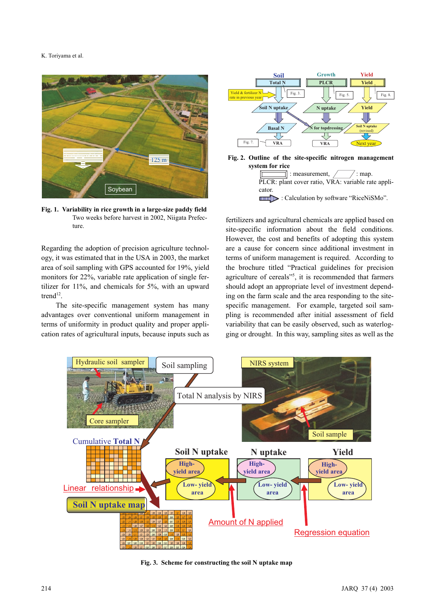#### K. Toriyama et al.



Fig. 1. Variability in rice growth in a large-size paddy field Two weeks before harvest in 2002, Niigata Prefecture.

Regarding the adoption of precision agriculture technology, it was estimated that in the USA in 2003, the market area of soil sampling with GPS accounted for 19%, yield monitors for 22%, variable rate application of single fertilizer for 11%, and chemicals for 5%, with an upward trend<sup>12</sup>.

The site-specific management system has many advantages over conventional uniform management in terms of uniformity in product quality and proper application rates of agricultural inputs, because inputs such as



PLCR: plant cover ratio, VRA: variable rate applicator. **EXAMPLE:** Calculation by software "RiceNiSMo".

fertilizers and agricultural chemicals are applied based on site-specific information about the field conditions. However, the cost and benefits of adopting this system are a cause for concern since additional investment in terms of uniform management is required. According to the brochure titled "Practical guidelines for precision agriculture of cereals"<sup>5</sup>, it is recommended that farmers should adopt an appropriate level of investment depending on the farm scale and the area responding to the sitespecific management. For example, targeted soil sampling is recommended after initial assessment of field variability that can be easily observed, such as waterlogging or drought. In this way, sampling sites as well as the



Fig. 3. Scheme for constructing the soil N uptake map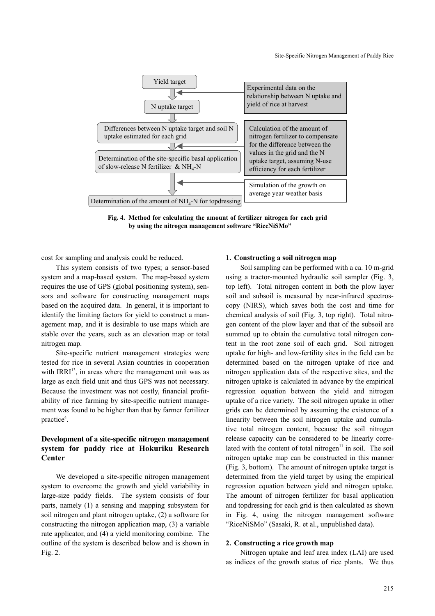

Fig. 4. Method for calculating the amount of fertilizer nitrogen for each grid by using the nitrogen management software "RiceNiSMo"

cost for sampling and analysis could be reduced.

This system consists of two types; a sensor-based system and a map-based system. The map-based system requires the use of GPS (global positioning system), sensors and software for constructing management maps based on the acquired data. In general, it is important to identify the limiting factors for yield to construct a management map, and it is desirable to use maps which are stable over the years, such as an elevation map or total nitrogen map.

Site-specific nutrient management strategies were tested for rice in several Asian countries in cooperation with  $IRRI<sup>13</sup>$ , in areas where the management unit was as large as each field unit and thus GPS was not necessary. Because the investment was not costly, financial profitability of rice farming by site-specific nutrient management was found to be higher than that by farmer fertilizer practice<sup>4</sup>.

## Development of a site-specific nitrogen management system for paddy rice at Hokuriku Research Center

We developed a site-specific nitrogen management system to overcome the growth and yield variability in large-size paddy fields. The system consists of four parts, namely (1) a sensing and mapping subsystem for soil nitrogen and plant nitrogen uptake, (2) a software for constructing the nitrogen application map, (3) a variable rate applicator, and (4) a yield monitoring combine. The outline of the system is described below and is shown in Fig. 2.

#### 1. Constructing a soil nitrogen map

Soil sampling can be performed with a ca. 10 m-grid using a tractor-mounted hydraulic soil sampler (Fig. 3, top left). Total nitrogen content in both the plow layer soil and subsoil is measured by near-infrared spectroscopy (NIRS), which saves both the cost and time for chemical analysis of soil (Fig. 3, top right). Total nitrogen content of the plow layer and that of the subsoil are summed up to obtain the cumulative total nitrogen content in the root zone soil of each grid. Soil nitrogen uptake for high- and low-fertility sites in the field can be determined based on the nitrogen uptake of rice and nitrogen application data of the respective sites, and the nitrogen uptake is calculated in advance by the empirical regression equation between the yield and nitrogen uptake of a rice variety. The soil nitrogen uptake in other grids can be determined by assuming the existence of a linearity between the soil nitrogen uptake and cumulative total nitrogen content, because the soil nitrogen release capacity can be considered to be linearly correlated with the content of total nitrogen $11$  in soil. The soil nitrogen uptake map can be constructed in this manner (Fig. 3, bottom). The amount of nitrogen uptake target is determined from the yield target by using the empirical regression equation between yield and nitrogen uptake. The amount of nitrogen fertilizer for basal application and topdressing for each grid is then calculated as shown in Fig. 4, using the nitrogen management software "RiceNiSMo" (Sasaki, R. et al., unpublished data).

#### 2. Constructing a rice growth map

Nitrogen uptake and leaf area index (LAI) are used as indices of the growth status of rice plants. We thus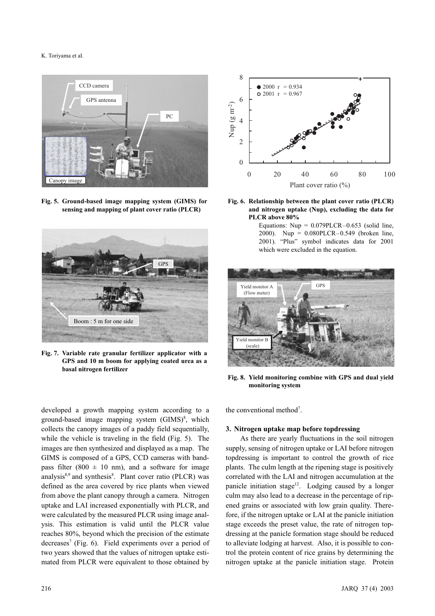#### K. Toriyama et al.



Fig. 5. Ground-based image mapping system (GIMS) for sensing and mapping of plant cover ratio (PLCR)



Fig. 7. Variable rate granular fertilizer applicator with a GPS and 10 m boom for applying coated urea as a basal nitrogen fertilizer

developed a growth mapping system according to a



Fig. 6. Relationship between the plant cover ratio (PLCR) and nitrogen uptake (Nup), excluding the data for PLCR above 80%

Equations:  $Nup = 0.079PLCR - 0.653$  (solid line, 2000). Nup = 0.080PLCR–0.549 (broken line, 2001). "Plus" symbol indicates data for 2001 which were excluded in the equation.



Fig. 8. Yield monitoring combine with GPS and dual yield monitoring system

the conventional method<sup>7</sup>.

#### 3. Nitrogen uptake map before topdressing

As there are yearly fluctuations in the soil nitrogen supply, sensing of nitrogen uptake or LAI before nitrogen topdressing is important to control the growth of rice plants. The culm length at the ripening stage is positively correlated with the LAI and nitrogen accumulation at the panicle initiation stage<sup>12</sup>. Lodging caused by a longer culm may also lead to a decrease in the percentage of ripened grains or associated with low grain quality. Therefore, if the nitrogen uptake or LAI at the panicle initiation stage exceeds the preset value, the rate of nitrogen topdressing at the panicle formation stage should be reduced to alleviate lodging at harvest. Also, it is possible to control the protein content of rice grains by determining the nitrogen uptake at the panicle initiation stage. Protein

ground-based image mapping system  $(GIMS)^8$ , which collects the canopy images of a paddy field sequentially, while the vehicle is traveling in the field (Fig. 5). The images are then synthesized and displayed as a map. The GIMS is composed of a GPS, CCD cameras with bandpass filter (800  $\pm$  10 nm), and a software for image analysis<sup>8,9</sup> and synthesis<sup>8</sup>. Plant cover ratio (PLCR) was defined as the area covered by rice plants when viewed from above the plant canopy through a camera. Nitrogen uptake and LAI increased exponentially with PLCR, and were calculated by the measured PLCR using image analysis. This estimation is valid until the PLCR value reaches 80%, beyond which the precision of the estimate decreases<sup>7</sup> (Fig. 6). Field experiments over a period of two years showed that the values of nitrogen uptake estimated from PLCR were equivalent to those obtained by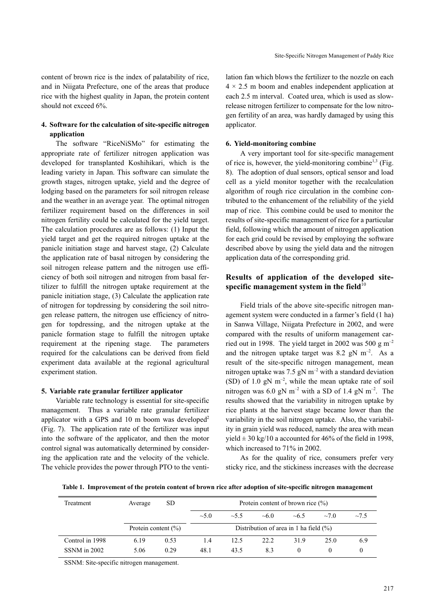content of brown rice is the index of palatability of rice, and in Niigata Prefecture, one of the areas that produce rice with the highest quality in Japan, the protein content should not exceed 6%.

## 4. Software for the calculation of site-specific nitrogen application

The software "RiceNiSMo" for estimating the appropriate rate of fertilizer nitrogen application was developed for transplanted Koshihikari, which is the leading variety in Japan. This software can simulate the growth stages, nitrogen uptake, yield and the degree of lodging based on the parameters for soil nitrogen release and the weather in an average year. The optimal nitrogen fertilizer requirement based on the differences in soil nitrogen fertility could be calculated for the yield target. The calculation procedures are as follows: (1) Input the yield target and get the required nitrogen uptake at the panicle initiation stage and harvest stage, (2) Calculate the application rate of basal nitrogen by considering the soil nitrogen release pattern and the nitrogen use efficiency of both soil nitrogen and nitrogen from basal fertilizer to fulfill the nitrogen uptake requirement at the panicle initiation stage, (3) Calculate the application rate of nitrogen for topdressing by considering the soil nitrogen release pattern, the nitrogen use efficiency of nitrogen for topdressing, and the nitrogen uptake at the panicle formation stage to fulfill the nitrogen uptake requirement at the ripening stage. The parameters required for the calculations can be derived from field experiment data available at the regional agricultural experiment station.

#### 5. Variable rate granular fertilizer applicator

Variable rate technology is essential for site-specific management. Thus a variable rate granular fertilizer applicator with a GPS and  $10 \text{ m}$  boom was developed<sup>2</sup> (Fig. 7). The application rate of the fertilizer was input into the software of the applicator, and then the motor control signal was automatically determined by considering the application rate and the velocity of the vehicle. The vehicle provides the power through PTO to the ventilation fan which blows the fertilizer to the nozzle on each  $4 \times 2.5$  m boom and enables independent application at each 2.5 m interval. Coated urea, which is used as slowrelease nitrogen fertilizer to compensate for the low nitrogen fertility of an area, was hardly damaged by using this applicator.

#### 6. Yield-monitoring combine

A very important tool for site-specific management of rice is, however, the yield-monitoring combine<sup>1,3</sup> (Fig. 8). The adoption of dual sensors, optical sensor and load cell as a yield monitor together with the recalculation algorithm of rough rice circulation in the combine contributed to the enhancement of the reliability of the yield map of rice. This combine could be used to monitor the results of site-specific management of rice for a particular field, following which the amount of nitrogen application for each grid could be revised by employing the software described above by using the yield data and the nitrogen application data of the corresponding grid.

## Results of application of the developed sitespecific management system in the field $10$

Field trials of the above site-specific nitrogen management system were conducted in a farmer's field (1 ha) in Sanwa Village, Niigata Prefecture in 2002, and were compared with the results of uniform management carried out in 1998. The yield target in 2002 was 500 g  $m^{-2}$ and the nitrogen uptake target was 8.2 gN  $\text{m}^{-2}$ . As a result of the site-specific nitrogen management, mean nitrogen uptake was 7.5 gN  $m^{-2}$  with a standard deviation (SD) of 1.0 gN  $m^{-2}$ , while the mean uptake rate of soil nitrogen was 6.0 gN  $m^{-2}$  with a SD of 1.4 gN  $m^{-2}$ . The results showed that the variability in nitrogen uptake by rice plants at the harvest stage became lower than the variability in the soil nitrogen uptake. Also, the variability in grain yield was reduced, namely the area with mean yield  $\pm$  30 kg/10 a accounted for 46% of the field in 1998, which increased to 71% in 2002.

As for the quality of rice, consumers prefer very sticky rice, and the stickiness increases with the decrease

Table 1. Improvement of the protein content of brown rice after adoption of site-specific nitrogen management

| Treatment       | Average                 | SD.  | Protein content of brown rice $(\% )$     |            |            |          |            |        |
|-----------------|-------------------------|------|-------------------------------------------|------------|------------|----------|------------|--------|
|                 |                         |      | $\sim$ 5.0                                | $\sim 5.5$ | $~10^{-6}$ | ~16.5    | $\sim 7.0$ | $-7.5$ |
|                 | Protein content $(\% )$ |      | Distribution of area in 1 ha field $(\%)$ |            |            |          |            |        |
| Control in 1998 | 6.19                    | 0.53 | 1.4                                       | 12.5       | 22.2       | 31.9     | 25.0       | 6.9    |
| SSNM in 2002    | 5.06                    | 0.29 | 48.1                                      | 43.5       | 8.3        | $^{(1)}$ | $\theta$   |        |

SSNM: Site-specific nitrogen management.